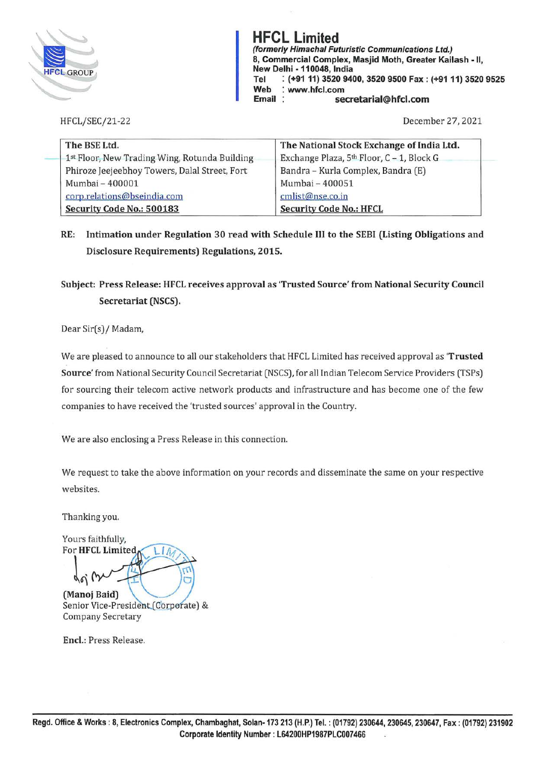

**HFCL Limited**<br>(formerly Himachal Futuristic Communications Ltd.) **(formerly Himachal Futuristic Communications Ltd.)**<br>
8. Commercial Complex, Masjid Moth, Greater Kail<br>
New Delhi - 110048, India<br>
Tel (491.11) 3520.9400.3520.9500 Eax : (491.1 **8, Commercial Complex, Masjid Moth, Greater Kailash** - II, **New Delhi** - **110048, India Tel** : **(+91 11) 3520 9400, 3520 9500 Fax: (+91 11) 3520 9525 Web** : **www.hfcl.com Email secretarial@hfcl.com** 

HFCL/SEC/21-22

December 27, 2021

| The BSE Ltd.                                  | The National Stock Exchange of India Ltd. |
|-----------------------------------------------|-------------------------------------------|
| 1st Floor, New Trading Wing, Rotunda Building | Exchange Plaza, 5th Floor, C - 1, Block G |
| Phiroze Jeejeebhoy Towers, Dalal Street, Fort | Bandra - Kurla Complex, Bandra (E)        |
| Mumbai - 400001                               | Mumbai - 400051                           |
| corp.relations@bseindia.com                   | cmlist@nse.co.in                          |
| Security Code No.: 500183                     | <b>Security Code No.: HFCL</b>            |

## **RE: Intimation under Regulation 30 read with Schedule** III **to the SEBI (Listing Obligations and Disclosure Requirements) Regulations, 2015.**

## **Subject: Press Release: HFCL receives approval as 'Trusted Source' from National Security Council Secretariat (NSCS).**

Dear Sir(s)/ Madam,

We are pleased to announce to all our stakeholders that HFCL Limited has received approval as **'Trusted Source'** from National Security Council Secretariat (NSCS), for all Indian Telecom Service Providers (TSPs) for sourcing their telecom active network products and infrastructure and has become one of the few companies to have received the 'trusted sources' approval in the Country.

We are also enclosing a Press Release in this connection.

We request to take the above information on your records and disseminate the same on your respective websites.

Thanking you.

Yours faithfully, **For HFCL Limited** (Manoj Baid) Senior Vice-President (Corporate) &

Company Secretary

**Encl.:** Press Release.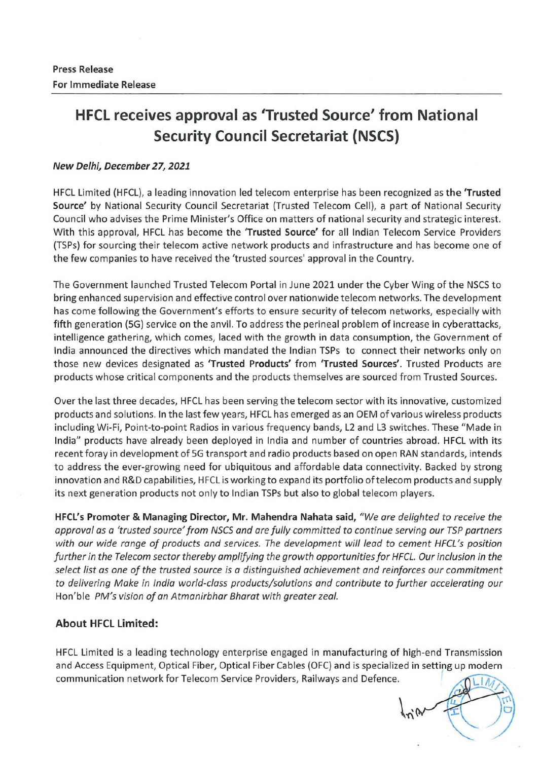# **HFCL receives approval as 'Trusted Source' from National Security Council Secretariat (NSCS)**

#### **New Delhi, December 27, 2021**

HFCL Limited (HFCL), a leading innovation led telecom enterprise has been recognized as the **'Trusted Source'** by National Security Council Secretariat (Trusted Telecom Cell), a part of National Security Council who advises the Prime Minister's Office on matters of national security and strategic interest. With this approval, HFCL has become the **'Trusted Source'** for all Indian Telecom Service Providers (TSPs) for sourcing their telecom active network products and infrastructure and has become one of the few companies to have received the 'trusted sources' approval in the Country.

The Government launched Trusted Telecom Portal in June 2021 under the Cyber Wing of the NSCS to bring enhanced supervision and effective control over nationwide telecom networks. The development has come following the Government's efforts to ensure security of telecom networks, especially with fifth generation (5G) service on the anvil. To address the perineal problem of increase in cyberattacks, intelligence gathering, which comes, laced with the growth in data consumption, the Government of India announced the directives which mandated the Indian TSPs to connect their networks only on those new devices designated as **'Trusted Products'** from **'Trusted Sources'.** Trusted Products are products whose critical components and the products themselves are sourced from Trusted Sources.

Over the last three decades, HFCL has been serving the telecom sector with its innovative, customized products and solutions. In the last few years, HFCL has emerged as an OEM of various wireless products including Wi-Fi, Point-to-point Radios in various frequency bands, L2 and L3 switches. These "Made in India" products have already been deployed in India and number of countries abroad. HFCL with its recent foray in development of SG transport and radio products based on open RAN standards, intends to address the ever-growing need for ubiquitous and affordable data connectivity. Backed by strong innovation and R&D capabilities, HFCL is working to expand its portfolio of telecom products and supply its next generation products not only to Indian TSPs but also to global telecom players.

**HFCL's Promoter & Managing Director, Mr. Mahendra Nahata said,** *"We are delighted to receive the approval as a 'trusted source' from NSCS and are fully committed to continue serving our TSP partners with our wide range of products and services. The development will lead to cement HFCL's position further in the Telecom sector thereby amplifying the growth opportunities for HFCL. Our inclusion in the select list as one of the trusted source is a distinguished achievement and reinforces our commitment to delivering Make in India world-class products/solutions and contribute to further accelerating our*  Hon'ble *PM's vision of an Atmanirbhar Bharat with greater zeal.* 

### **About HFCL Limited:**

HFCL Limited is a leading technology enterprise engaged in manufacturing of high-end Transmission and Access Equipment, Optical Fiber, Optical Fiber Cables (OFC) and is specialized in setting up modern communication network for Telecom Service Providers, Railways and Defence.

 $\frac{1}{n}$